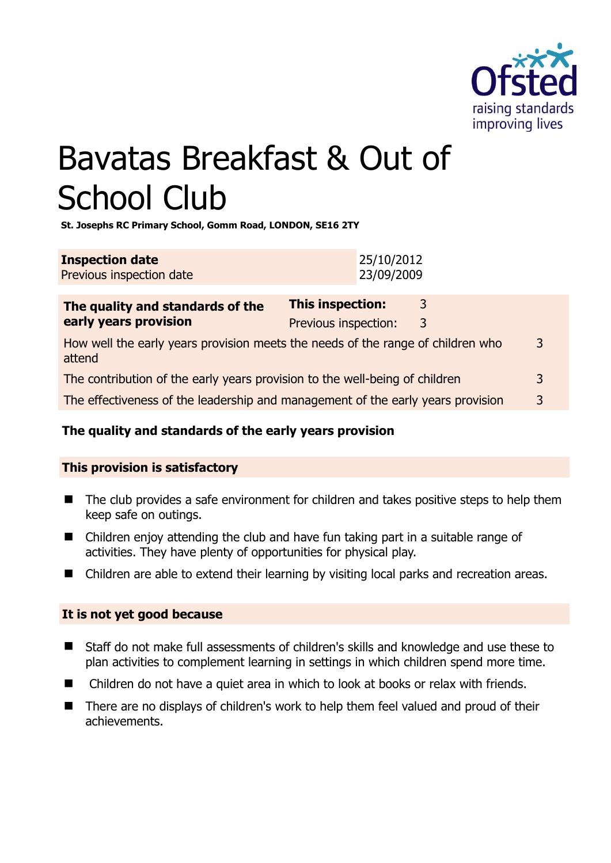

# Bavatas Breakfast & Out of School Club

**St. Josephs RC Primary School, Gomm Road, LONDON, SE16 2TY** 

| <b>Inspection date</b>   | 25/10/2012 |
|--------------------------|------------|
| Previous inspection date | 23/09/2009 |

| The quality and standards of the<br>early years provision                                 | <b>This inspection:</b> | 3 |   |
|-------------------------------------------------------------------------------------------|-------------------------|---|---|
|                                                                                           | Previous inspection:    | 3 |   |
| How well the early years provision meets the needs of the range of children who<br>attend |                         |   | 3 |
| The contribution of the early years provision to the well-being of children               |                         |   | 3 |
| The effectiveness of the leadership and management of the early years provision           |                         |   | 3 |
|                                                                                           |                         |   |   |

# **The quality and standards of the early years provision**

### **This provision is satisfactory**

- The club provides a safe environment for children and takes positive steps to help them keep safe on outings.
- Children enjoy attending the club and have fun taking part in a suitable range of activities. They have plenty of opportunities for physical play.
- Children are able to extend their learning by visiting local parks and recreation areas.

### **It is not yet good because**

- Staff do not make full assessments of children's skills and knowledge and use these to plan activities to complement learning in settings in which children spend more time.
- Children do not have a quiet area in which to look at books or relax with friends.
- There are no displays of children's work to help them feel valued and proud of their achievements.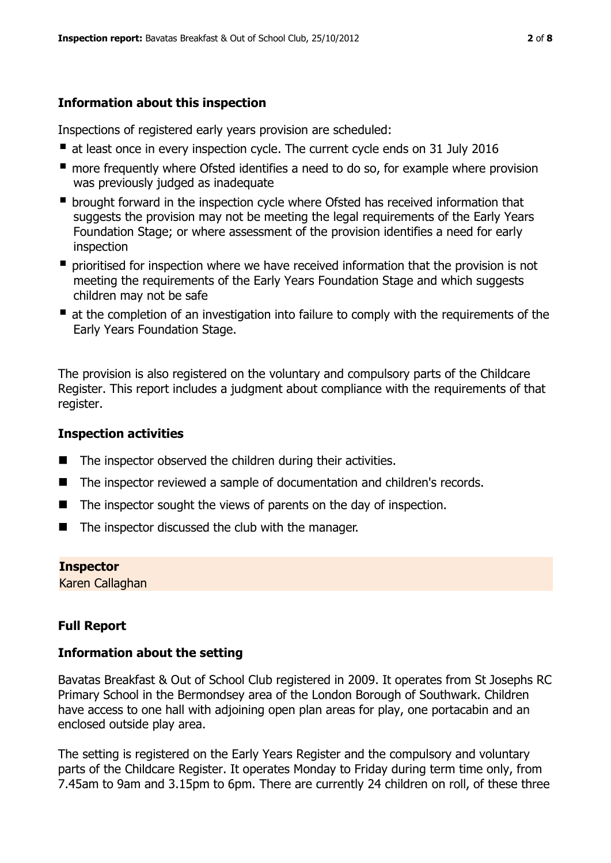## **Information about this inspection**

Inspections of registered early years provision are scheduled:

- at least once in every inspection cycle. The current cycle ends on 31 July 2016
- **n** more frequently where Ofsted identifies a need to do so, for example where provision was previously judged as inadequate
- **•** brought forward in the inspection cycle where Ofsted has received information that suggests the provision may not be meeting the legal requirements of the Early Years Foundation Stage; or where assessment of the provision identifies a need for early inspection
- **P** prioritised for inspection where we have received information that the provision is not meeting the requirements of the Early Years Foundation Stage and which suggests children may not be safe
- at the completion of an investigation into failure to comply with the requirements of the Early Years Foundation Stage.

The provision is also registered on the voluntary and compulsory parts of the Childcare Register. This report includes a judgment about compliance with the requirements of that register.

### **Inspection activities**

- $\blacksquare$  The inspector observed the children during their activities.
- The inspector reviewed a sample of documentation and children's records.
- $\blacksquare$  The inspector sought the views of parents on the day of inspection.
- $\blacksquare$  The inspector discussed the club with the manager.

**Inspector**  Karen Callaghan

## **Full Report**

### **Information about the setting**

Bavatas Breakfast & Out of School Club registered in 2009. It operates from St Josephs RC Primary School in the Bermondsey area of the London Borough of Southwark. Children have access to one hall with adjoining open plan areas for play, one portacabin and an enclosed outside play area.

The setting is registered on the Early Years Register and the compulsory and voluntary parts of the Childcare Register. It operates Monday to Friday during term time only, from 7.45am to 9am and 3.15pm to 6pm. There are currently 24 children on roll, of these three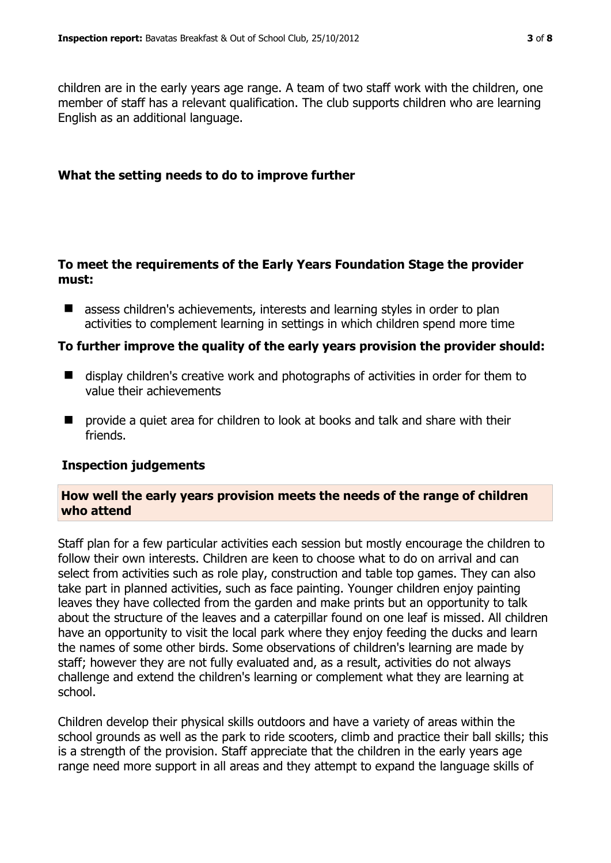children are in the early years age range. A team of two staff work with the children, one member of staff has a relevant qualification. The club supports children who are learning English as an additional language.

#### **What the setting needs to do to improve further**

#### **To meet the requirements of the Early Years Foundation Stage the provider must:**

■ assess children's achievements, interests and learning styles in order to plan activities to complement learning in settings in which children spend more time

#### **To further improve the quality of the early years provision the provider should:**

- display children's creative work and photographs of activities in order for them to value their achievements
- **E** provide a quiet area for children to look at books and talk and share with their friends.

### **Inspection judgements**

#### **How well the early years provision meets the needs of the range of children who attend**

Staff plan for a few particular activities each session but mostly encourage the children to follow their own interests. Children are keen to choose what to do on arrival and can select from activities such as role play, construction and table top games. They can also take part in planned activities, such as face painting. Younger children enjoy painting leaves they have collected from the garden and make prints but an opportunity to talk about the structure of the leaves and a caterpillar found on one leaf is missed. All children have an opportunity to visit the local park where they enjoy feeding the ducks and learn the names of some other birds. Some observations of children's learning are made by staff; however they are not fully evaluated and, as a result, activities do not always challenge and extend the children's learning or complement what they are learning at school.

Children develop their physical skills outdoors and have a variety of areas within the school grounds as well as the park to ride scooters, climb and practice their ball skills; this is a strength of the provision. Staff appreciate that the children in the early years age range need more support in all areas and they attempt to expand the language skills of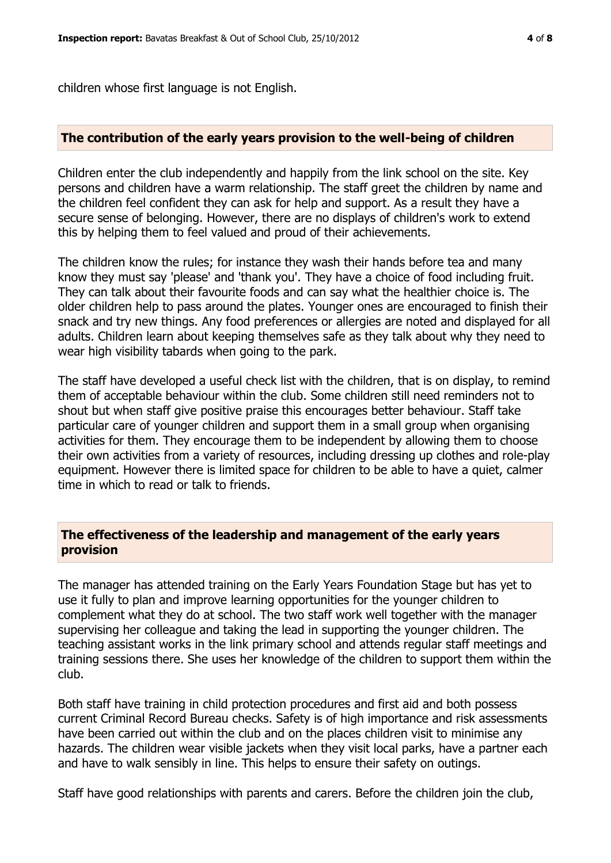children whose first language is not English.

#### **The contribution of the early years provision to the well-being of children**

Children enter the club independently and happily from the link school on the site. Key persons and children have a warm relationship. The staff greet the children by name and the children feel confident they can ask for help and support. As a result they have a secure sense of belonging. However, there are no displays of children's work to extend this by helping them to feel valued and proud of their achievements.

The children know the rules; for instance they wash their hands before tea and many know they must say 'please' and 'thank you'. They have a choice of food including fruit. They can talk about their favourite foods and can say what the healthier choice is. The older children help to pass around the plates. Younger ones are encouraged to finish their snack and try new things. Any food preferences or allergies are noted and displayed for all adults. Children learn about keeping themselves safe as they talk about why they need to wear high visibility tabards when going to the park.

The staff have developed a useful check list with the children, that is on display, to remind them of acceptable behaviour within the club. Some children still need reminders not to shout but when staff give positive praise this encourages better behaviour. Staff take particular care of younger children and support them in a small group when organising activities for them. They encourage them to be independent by allowing them to choose their own activities from a variety of resources, including dressing up clothes and role-play equipment. However there is limited space for children to be able to have a quiet, calmer time in which to read or talk to friends.

#### **The effectiveness of the leadership and management of the early years provision**

The manager has attended training on the Early Years Foundation Stage but has yet to use it fully to plan and improve learning opportunities for the younger children to complement what they do at school. The two staff work well together with the manager supervising her colleague and taking the lead in supporting the younger children. The teaching assistant works in the link primary school and attends regular staff meetings and training sessions there. She uses her knowledge of the children to support them within the club.

Both staff have training in child protection procedures and first aid and both possess current Criminal Record Bureau checks. Safety is of high importance and risk assessments have been carried out within the club and on the places children visit to minimise any hazards. The children wear visible jackets when they visit local parks, have a partner each and have to walk sensibly in line. This helps to ensure their safety on outings.

Staff have good relationships with parents and carers. Before the children join the club,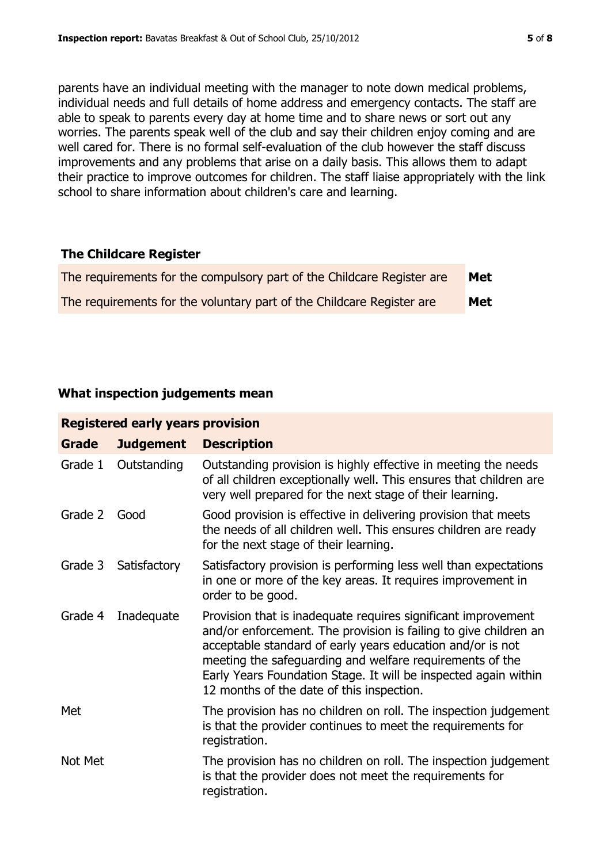parents have an individual meeting with the manager to note down medical problems, individual needs and full details of home address and emergency contacts. The staff are able to speak to parents every day at home time and to share news or sort out any worries. The parents speak well of the club and say their children enjoy coming and are well cared for. There is no formal self-evaluation of the club however the staff discuss improvements and any problems that arise on a daily basis. This allows them to adapt their practice to improve outcomes for children. The staff liaise appropriately with the link school to share information about children's care and learning.

#### **The Childcare Register**

| The requirements for the compulsory part of the Childcare Register are | Met |
|------------------------------------------------------------------------|-----|
| The requirements for the voluntary part of the Childcare Register are  | Met |

### **What inspection judgements mean**

| <b>Registered early years provision</b> |                  |                                                                                                                                                                                                                                                                                                                                                                             |  |  |
|-----------------------------------------|------------------|-----------------------------------------------------------------------------------------------------------------------------------------------------------------------------------------------------------------------------------------------------------------------------------------------------------------------------------------------------------------------------|--|--|
| <b>Grade</b>                            | <b>Judgement</b> | <b>Description</b>                                                                                                                                                                                                                                                                                                                                                          |  |  |
| Grade 1                                 | Outstanding      | Outstanding provision is highly effective in meeting the needs<br>of all children exceptionally well. This ensures that children are<br>very well prepared for the next stage of their learning.                                                                                                                                                                            |  |  |
| Grade 2                                 | Good             | Good provision is effective in delivering provision that meets<br>the needs of all children well. This ensures children are ready<br>for the next stage of their learning.                                                                                                                                                                                                  |  |  |
| Grade 3                                 | Satisfactory     | Satisfactory provision is performing less well than expectations<br>in one or more of the key areas. It requires improvement in<br>order to be good.                                                                                                                                                                                                                        |  |  |
| Grade 4                                 | Inadequate       | Provision that is inadequate requires significant improvement<br>and/or enforcement. The provision is failing to give children an<br>acceptable standard of early years education and/or is not<br>meeting the safeguarding and welfare requirements of the<br>Early Years Foundation Stage. It will be inspected again within<br>12 months of the date of this inspection. |  |  |
| Met                                     |                  | The provision has no children on roll. The inspection judgement<br>is that the provider continues to meet the requirements for<br>registration.                                                                                                                                                                                                                             |  |  |
| Not Met                                 |                  | The provision has no children on roll. The inspection judgement<br>is that the provider does not meet the requirements for<br>registration.                                                                                                                                                                                                                                 |  |  |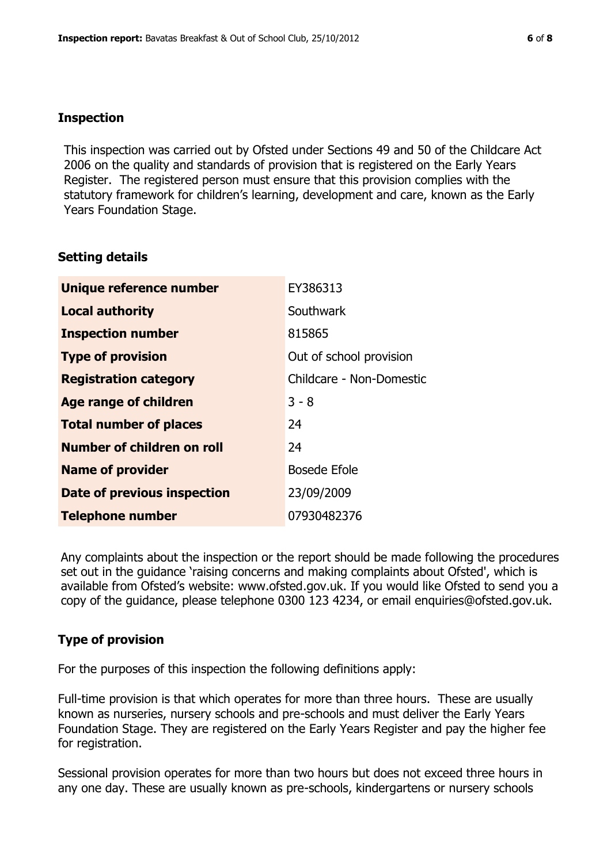#### **Inspection**

This inspection was carried out by Ofsted under Sections 49 and 50 of the Childcare Act 2006 on the quality and standards of provision that is registered on the Early Years Register. The registered person must ensure that this provision complies with the statutory framework for children's learning, development and care, known as the Early Years Foundation Stage.

#### **Setting details**

| Unique reference number       | EY386313                 |
|-------------------------------|--------------------------|
| <b>Local authority</b>        | Southwark                |
| <b>Inspection number</b>      | 815865                   |
| <b>Type of provision</b>      | Out of school provision  |
| <b>Registration category</b>  | Childcare - Non-Domestic |
| <b>Age range of children</b>  | $3 - 8$                  |
| <b>Total number of places</b> | 24                       |
| Number of children on roll    | 24                       |
| <b>Name of provider</b>       | <b>Bosede Efole</b>      |
| Date of previous inspection   | 23/09/2009               |
| <b>Telephone number</b>       | 07930482376              |

Any complaints about the inspection or the report should be made following the procedures set out in the guidance 'raising concerns and making complaints about Ofsted', which is available from Ofsted's website: www.ofsted.gov.uk. If you would like Ofsted to send you a copy of the guidance, please telephone 0300 123 4234, or email enquiries@ofsted.gov.uk.

#### **Type of provision**

For the purposes of this inspection the following definitions apply:

Full-time provision is that which operates for more than three hours. These are usually known as nurseries, nursery schools and pre-schools and must deliver the Early Years Foundation Stage. They are registered on the Early Years Register and pay the higher fee for registration.

Sessional provision operates for more than two hours but does not exceed three hours in any one day. These are usually known as pre-schools, kindergartens or nursery schools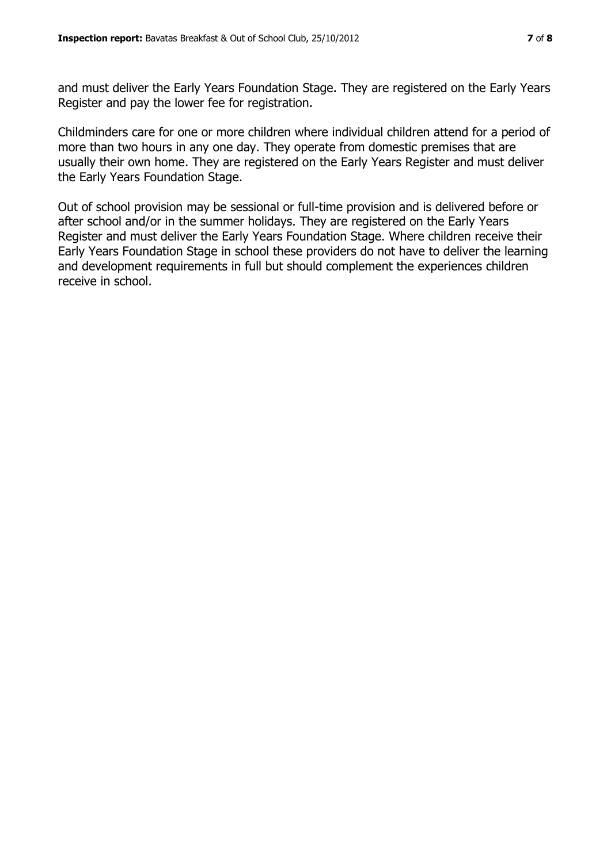and must deliver the Early Years Foundation Stage. They are registered on the Early Years Register and pay the lower fee for registration.

Childminders care for one or more children where individual children attend for a period of more than two hours in any one day. They operate from domestic premises that are usually their own home. They are registered on the Early Years Register and must deliver the Early Years Foundation Stage.

Out of school provision may be sessional or full-time provision and is delivered before or after school and/or in the summer holidays. They are registered on the Early Years Register and must deliver the Early Years Foundation Stage. Where children receive their Early Years Foundation Stage in school these providers do not have to deliver the learning and development requirements in full but should complement the experiences children receive in school.